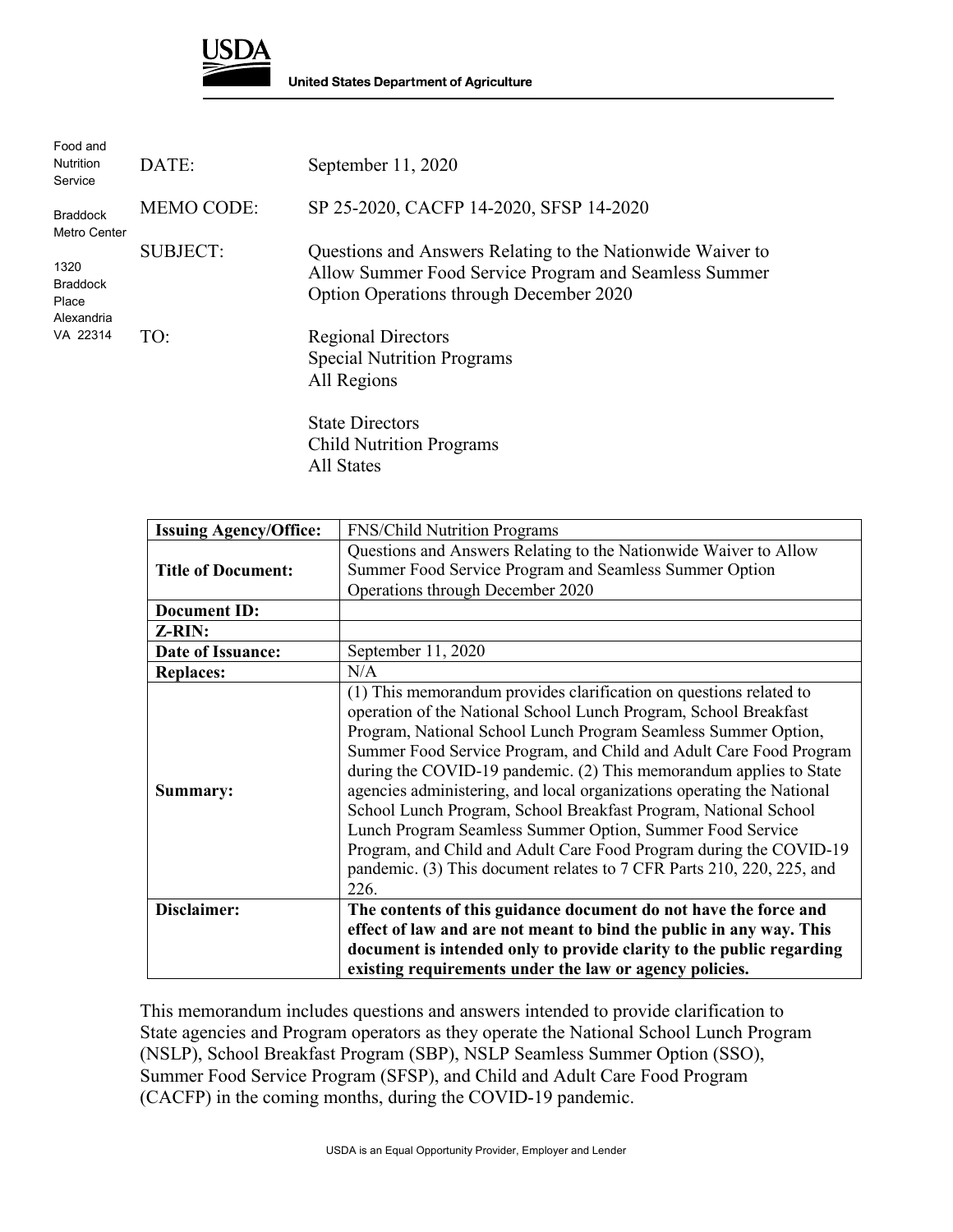

| Food and<br><b>Nutrition</b><br>Service        | DATE:             | September 11, 2020                                                                                                                                             |
|------------------------------------------------|-------------------|----------------------------------------------------------------------------------------------------------------------------------------------------------------|
| <b>Braddock</b><br>Metro Center                | <b>MEMO CODE:</b> | SP 25-2020, CACFP 14-2020, SFSP 14-2020                                                                                                                        |
| 1320<br><b>Braddock</b><br>Place<br>Alexandria | <b>SUBJECT:</b>   | Questions and Answers Relating to the Nationwide Waiver to<br>Allow Summer Food Service Program and Seamless Summer<br>Option Operations through December 2020 |
| VA 22314                                       | TO:               | <b>Regional Directors</b><br><b>Special Nutrition Programs</b><br>All Regions                                                                                  |
|                                                |                   | <b>State Directors</b>                                                                                                                                         |

Child Nutrition Programs All States

| <b>Issuing Agency/Office:</b> | <b>FNS/Child Nutrition Programs</b>                                    |
|-------------------------------|------------------------------------------------------------------------|
|                               | Questions and Answers Relating to the Nationwide Waiver to Allow       |
| <b>Title of Document:</b>     | Summer Food Service Program and Seamless Summer Option                 |
|                               | Operations through December 2020                                       |
| <b>Document ID:</b>           |                                                                        |
| Z-RIN:                        |                                                                        |
| Date of Issuance:             | September 11, 2020                                                     |
| <b>Replaces:</b>              | N/A                                                                    |
|                               | (1) This memorandum provides clarification on questions related to     |
|                               | operation of the National School Lunch Program, School Breakfast       |
|                               | Program, National School Lunch Program Seamless Summer Option,         |
|                               | Summer Food Service Program, and Child and Adult Care Food Program     |
|                               | during the COVID-19 pandemic. (2) This memorandum applies to State     |
| Summary:                      | agencies administering, and local organizations operating the National |
|                               | School Lunch Program, School Breakfast Program, National School        |
|                               | Lunch Program Seamless Summer Option, Summer Food Service              |
|                               | Program, and Child and Adult Care Food Program during the COVID-19     |
|                               | pandemic. (3) This document relates to 7 CFR Parts 210, 220, 225, and  |
|                               | 226.                                                                   |
| Disclaimer:                   | The contents of this guidance document do not have the force and       |
|                               | effect of law and are not meant to bind the public in any way. This    |
|                               | document is intended only to provide clarity to the public regarding   |
|                               | existing requirements under the law or agency policies.                |

This memorandum includes questions and answers intended to provide clarification to State agencies and Program operators as they operate the National School Lunch Program (NSLP), School Breakfast Program (SBP), NSLP Seamless Summer Option (SSO), Summer Food Service Program (SFSP), and Child and Adult Care Food Program (CACFP) in the coming months, during the COVID-19 pandemic.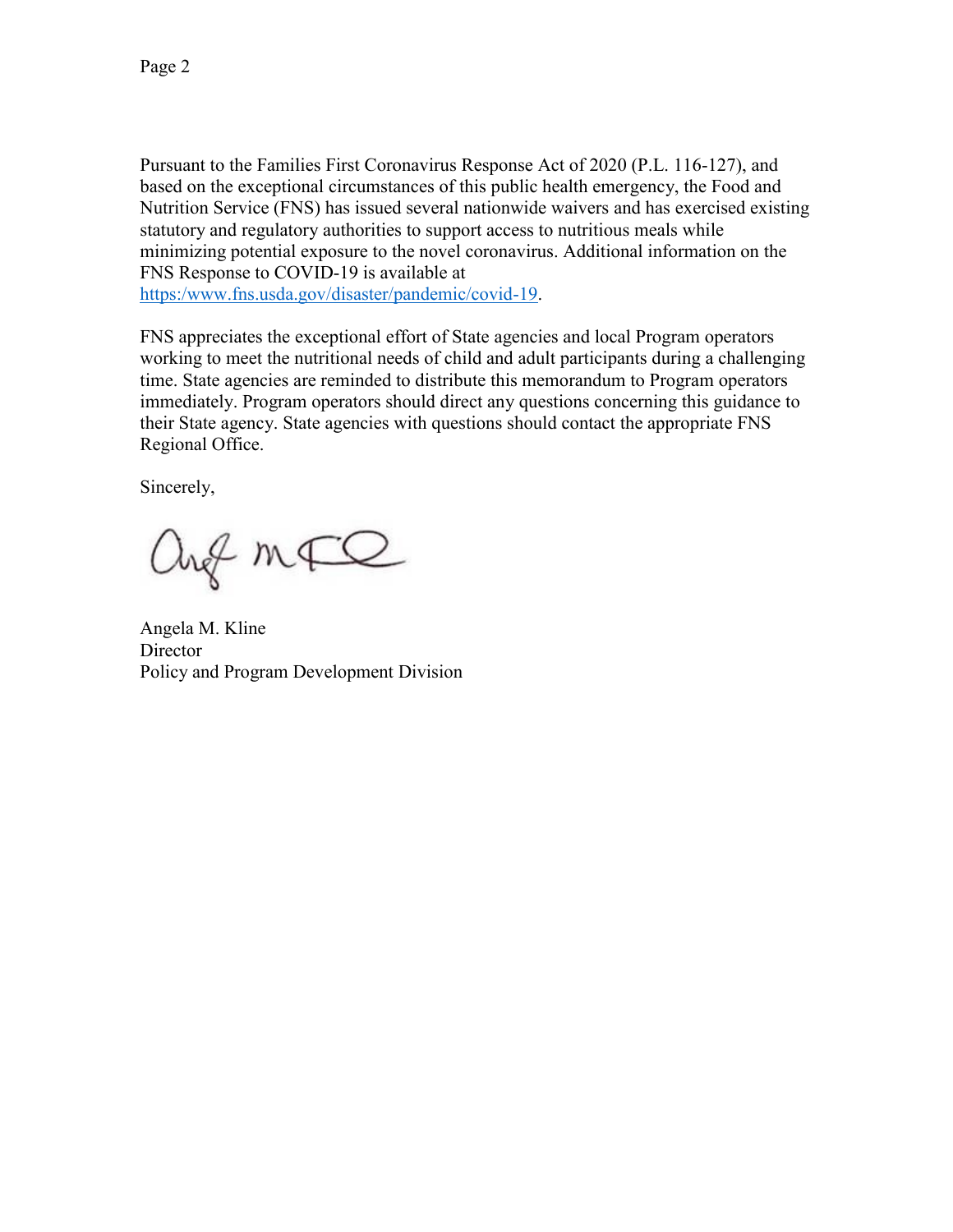Pursuant to the Families First Coronavirus Response Act of 2020 (P.L. 116-127), and based on the exceptional circumstances of this public health emergency, the Food and Nutrition Service (FNS) has issued several nationwide waivers and has exercised existing statutory and regulatory authorities to support access to nutritious meals while minimizing potential exposure to the novel coronavirus. Additional information on the FNS Response to COVID-19 is available at [https:/www.fns.usda.gov/disaster/pandemic/covid-19.](https://www.fns.usda.gov/disaster/pandemic/covid-19)

FNS appreciates the exceptional effort of State agencies and local Program operators working to meet the nutritional needs of child and adult participants during a challenging time. State agencies are reminded to distribute this memorandum to Program operators immediately. Program operators should direct any questions concerning this guidance to their State agency. State agencies with questions should contact the appropriate FNS Regional Office.

Sincerely,

ang mFQ

Angela M. Kline **Director** Policy and Program Development Division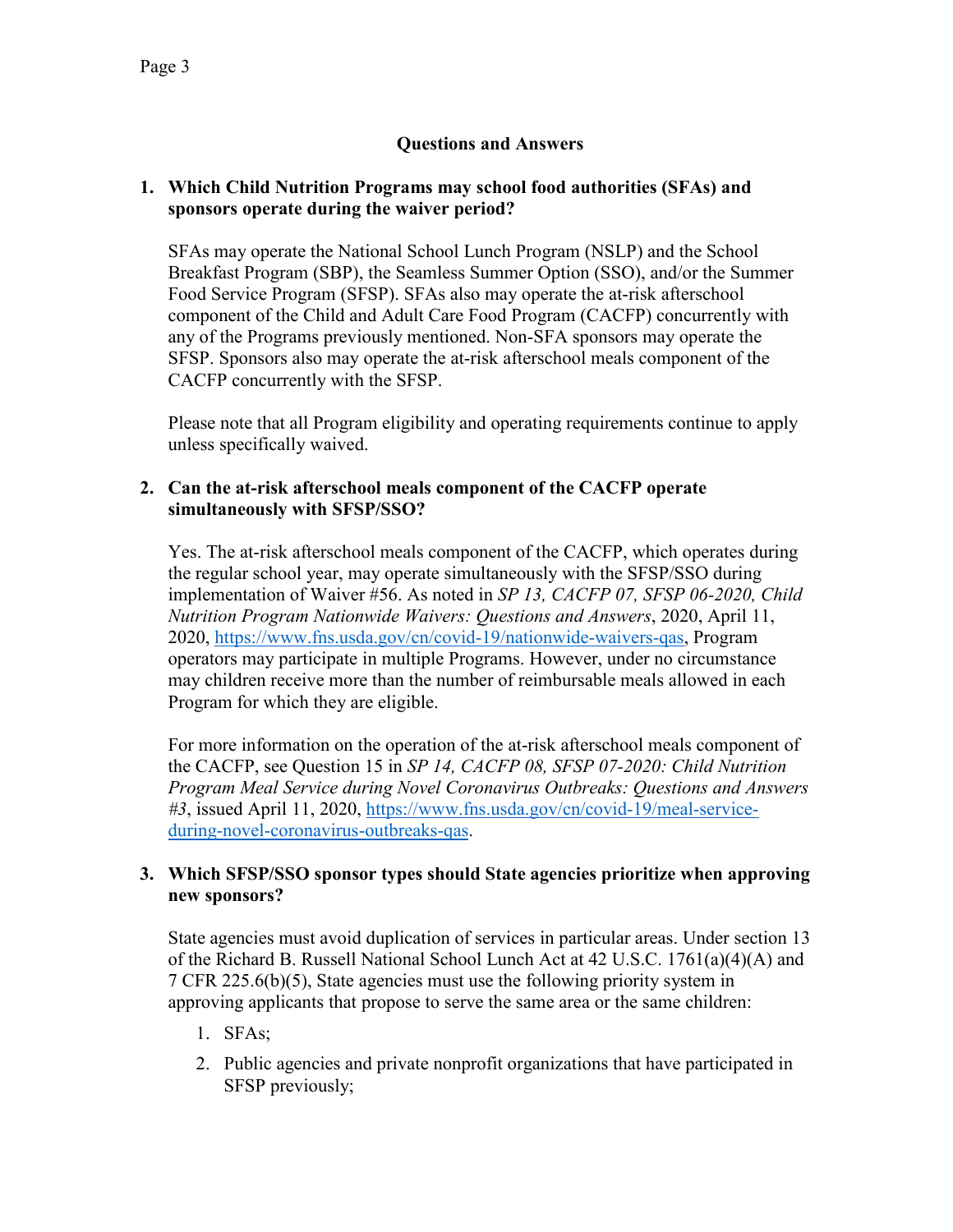# **Questions and Answers**

### **1. Which Child Nutrition Programs may school food authorities (SFAs) and sponsors operate during the waiver period?**

SFAs may operate the National School Lunch Program (NSLP) and the School Breakfast Program (SBP), the Seamless Summer Option (SSO), and/or the Summer Food Service Program (SFSP). SFAs also may operate the at-risk afterschool component of the Child and Adult Care Food Program (CACFP) concurrently with any of the Programs previously mentioned. Non-SFA sponsors may operate the SFSP. Sponsors also may operate the at-risk afterschool meals component of the CACFP concurrently with the SFSP.

Please note that all Program eligibility and operating requirements continue to apply unless specifically waived.

### **2. Can the at-risk afterschool meals component of the CACFP operate simultaneously with SFSP/SSO?**

Yes. The at-risk afterschool meals component of the CACFP, which operates during the regular school year, may operate simultaneously with the SFSP/SSO during implementation of Waiver #56. As noted in *SP 13, CACFP 07, SFSP 06-2020, Child Nutrition Program Nationwide Waivers: Questions and Answers*, 2020, April 11, 2020, [https://www.fns.usda.gov/cn/covid-19/nationwide-waivers-qas,](https://www.fns.usda.gov/cn/covid-19/nationwide-waivers-qas) Program operators may participate in multiple Programs. However, under no circumstance may children receive more than the number of reimbursable meals allowed in each Program for which they are eligible.

For more information on the operation of the at-risk afterschool meals component of the CACFP, see Question 15 in *SP 14, CACFP 08, SFSP 07-2020: Child Nutrition Program Meal Service during Novel Coronavirus Outbreaks: Questions and Answers #3*, issued April 11, 2020, [https://www.fns.usda.gov/cn/covid-19/meal-service](https://www.fns.usda.gov/cn/covid-19/meal-service-during-novel-coronavirus-outbreaks-qas)[during-novel-coronavirus-outbreaks-qas.](https://www.fns.usda.gov/cn/covid-19/meal-service-during-novel-coronavirus-outbreaks-qas)

# **3. Which SFSP/SSO sponsor types should State agencies prioritize when approving new sponsors?**

State agencies must avoid duplication of services in particular areas. Under section 13 of the Richard B. Russell National School Lunch Act at 42 U.S.C. 1761(a)(4)(A) and 7 CFR 225.6(b)(5), State agencies must use the following priority system in approving applicants that propose to serve the same area or the same children:

- 1. SFAs;
- 2. Public agencies and private nonprofit organizations that have participated in SFSP previously;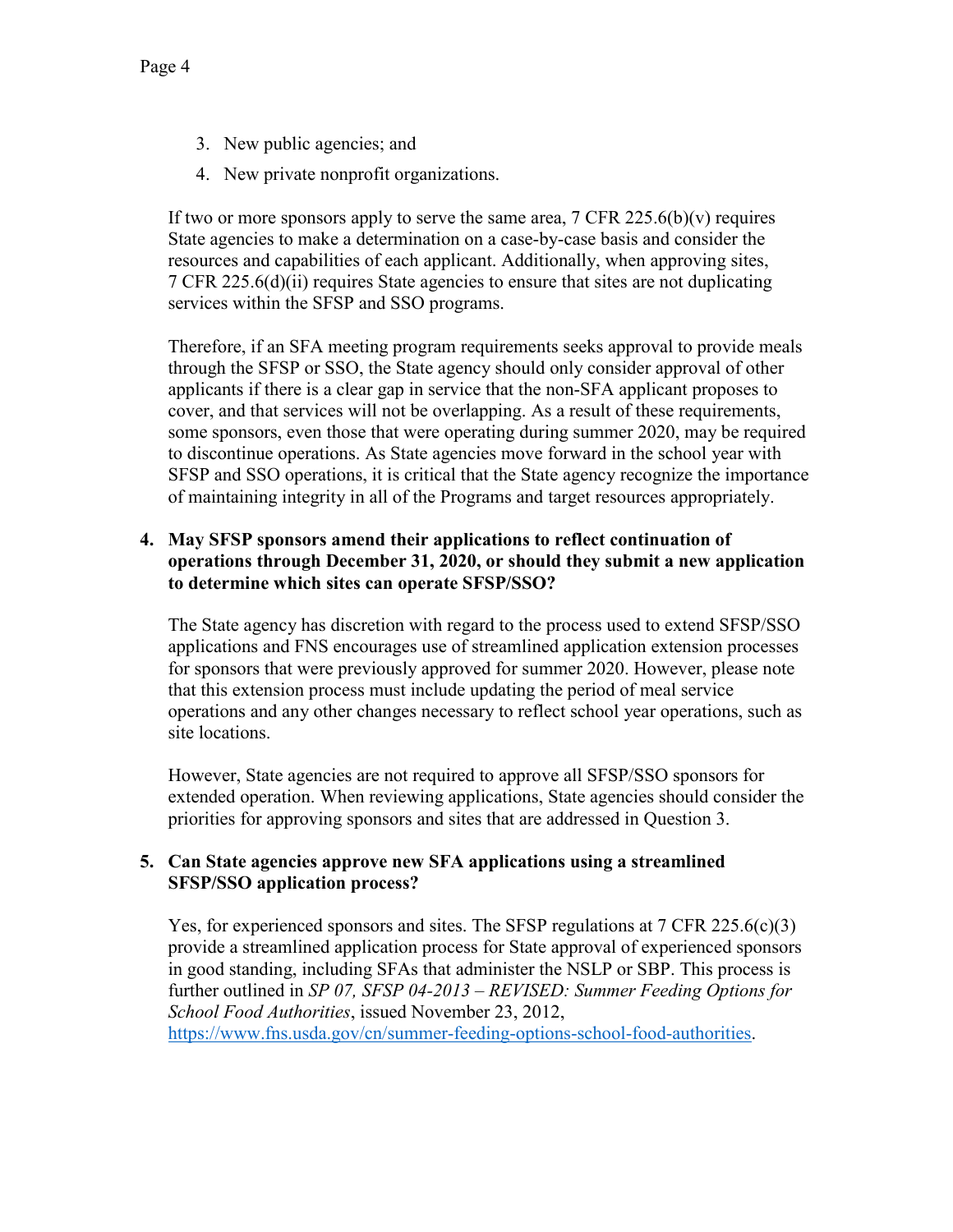- 3. New public agencies; and
- 4. New private nonprofit organizations.

If two or more sponsors apply to serve the same area,  $7 \text{ CFR } 225.6(b)(v)$  requires State agencies to make a determination on a case-by-case basis and consider the resources and capabilities of each applicant. Additionally, when approving sites, 7 CFR 225.6(d)(ii) requires State agencies to ensure that sites are not duplicating services within the SFSP and SSO programs.

Therefore, if an SFA meeting program requirements seeks approval to provide meals through the SFSP or SSO, the State agency should only consider approval of other applicants if there is a clear gap in service that the non-SFA applicant proposes to cover, and that services will not be overlapping. As a result of these requirements, some sponsors, even those that were operating during summer 2020, may be required to discontinue operations. As State agencies move forward in the school year with SFSP and SSO operations, it is critical that the State agency recognize the importance of maintaining integrity in all of the Programs and target resources appropriately.

### **4. May SFSP sponsors amend their applications to reflect continuation of operations through December 31, 2020, or should they submit a new application to determine which sites can operate SFSP/SSO?**

The State agency has discretion with regard to the process used to extend SFSP/SSO applications and FNS encourages use of streamlined application extension processes for sponsors that were previously approved for summer 2020. However, please note that this extension process must include updating the period of meal service operations and any other changes necessary to reflect school year operations, such as site locations.

However, State agencies are not required to approve all SFSP/SSO sponsors for extended operation. When reviewing applications, State agencies should consider the priorities for approving sponsors and sites that are addressed in Question 3.

### **5. Can State agencies approve new SFA applications using a streamlined SFSP/SSO application process?**

Yes, for experienced sponsors and sites. The SFSP regulations at  $7 \text{ CFR } 225.6(c)(3)$ provide a streamlined application process for State approval of experienced sponsors in good standing, including SFAs that administer the NSLP or SBP. This process is further outlined in *SP 07, SFSP 04-2013 – REVISED: Summer Feeding Options for School Food Authorities*, issued November 23, 2012, [https://www.fns.usda.gov/cn/summer-feeding-options-school-food-authorities.](https://www.fns.usda.gov/cn/summer-feeding-options-school-food-authorities)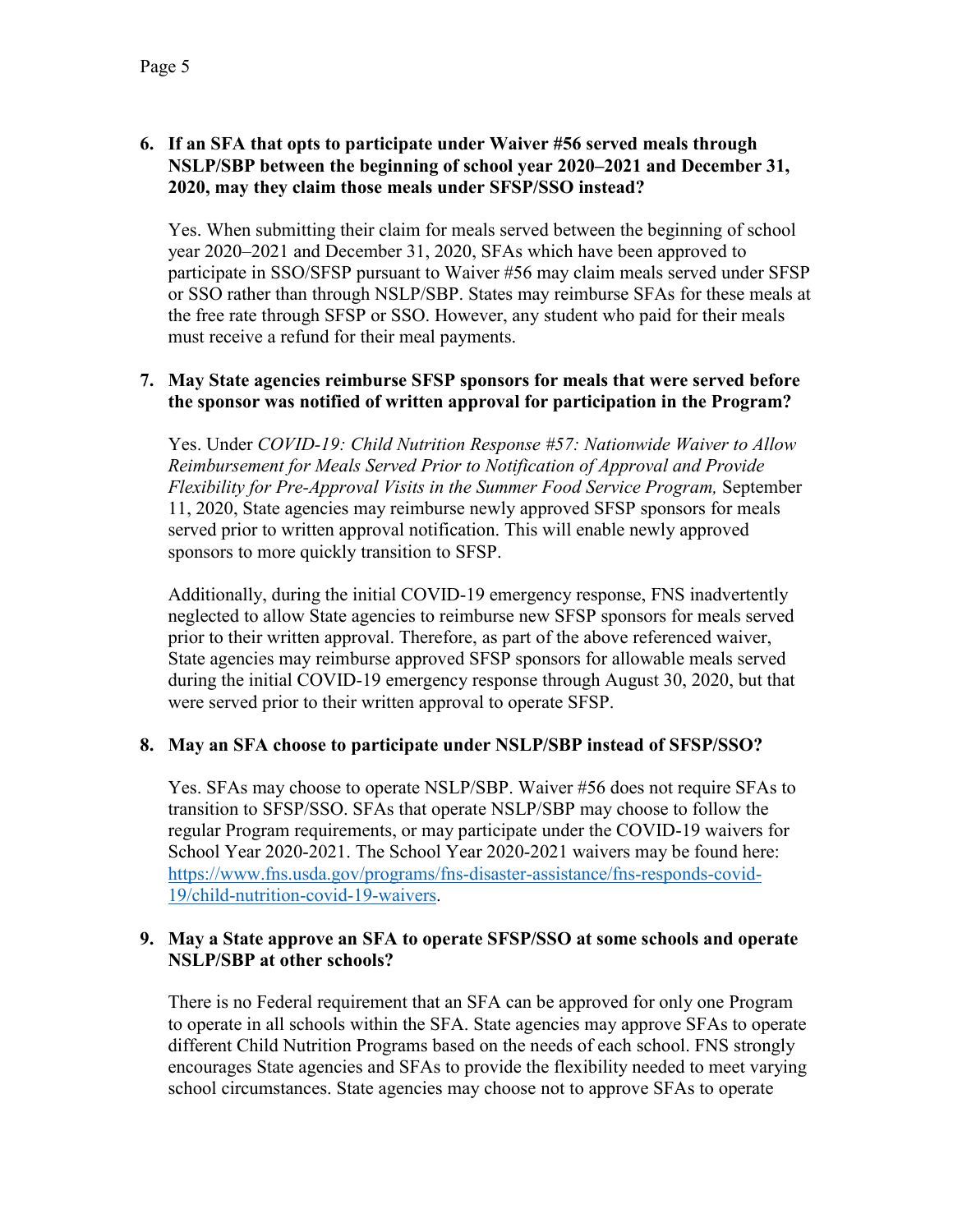# **6. If an SFA that opts to participate under Waiver #56 served meals through NSLP/SBP between the beginning of school year 2020–2021 and December 31, 2020, may they claim those meals under SFSP/SSO instead?**

Yes. When submitting their claim for meals served between the beginning of school year 2020–2021 and December 31, 2020, SFAs which have been approved to participate in SSO/SFSP pursuant to Waiver #56 may claim meals served under SFSP or SSO rather than through NSLP/SBP. States may reimburse SFAs for these meals at the free rate through SFSP or SSO. However, any student who paid for their meals must receive a refund for their meal payments.

## **7. May State agencies reimburse SFSP sponsors for meals that were served before the sponsor was notified of written approval for participation in the Program?**

Yes. Under *COVID-19: Child Nutrition Response #57: Nationwide Waiver to Allow Reimbursement for Meals Served Prior to Notification of Approval and Provide Flexibility for Pre-Approval Visits in the Summer Food Service Program,* September 11, 2020, State agencies may reimburse newly approved SFSP sponsors for meals served prior to written approval notification. This will enable newly approved sponsors to more quickly transition to SFSP.

Additionally, during the initial COVID-19 emergency response, FNS inadvertently neglected to allow State agencies to reimburse new SFSP sponsors for meals served prior to their written approval. Therefore, as part of the above referenced waiver, State agencies may reimburse approved SFSP sponsors for allowable meals served during the initial COVID-19 emergency response through August 30, 2020, but that were served prior to their written approval to operate SFSP.

# **8. May an SFA choose to participate under NSLP/SBP instead of SFSP/SSO?**

Yes. SFAs may choose to operate NSLP/SBP. Waiver #56 does not require SFAs to transition to SFSP/SSO. SFAs that operate NSLP/SBP may choose to follow the regular Program requirements, or may participate under the COVID-19 waivers for School Year 2020-2021. The School Year 2020-2021 waivers may be found here: [https://www.fns.usda.gov/programs/fns-disaster-assistance/fns-responds-covid-](https://www.fns.usda.gov/programs/fns-disaster-assistance/fns-responds-covid-19/child-nutrition-covid-19-waivers)[19/child-nutrition-covid-19-waivers.](https://www.fns.usda.gov/programs/fns-disaster-assistance/fns-responds-covid-19/child-nutrition-covid-19-waivers)

## **9. May a State approve an SFA to operate SFSP/SSO at some schools and operate NSLP/SBP at other schools?**

There is no Federal requirement that an SFA can be approved for only one Program to operate in all schools within the SFA. State agencies may approve SFAs to operate different Child Nutrition Programs based on the needs of each school. FNS strongly encourages State agencies and SFAs to provide the flexibility needed to meet varying school circumstances. State agencies may choose not to approve SFAs to operate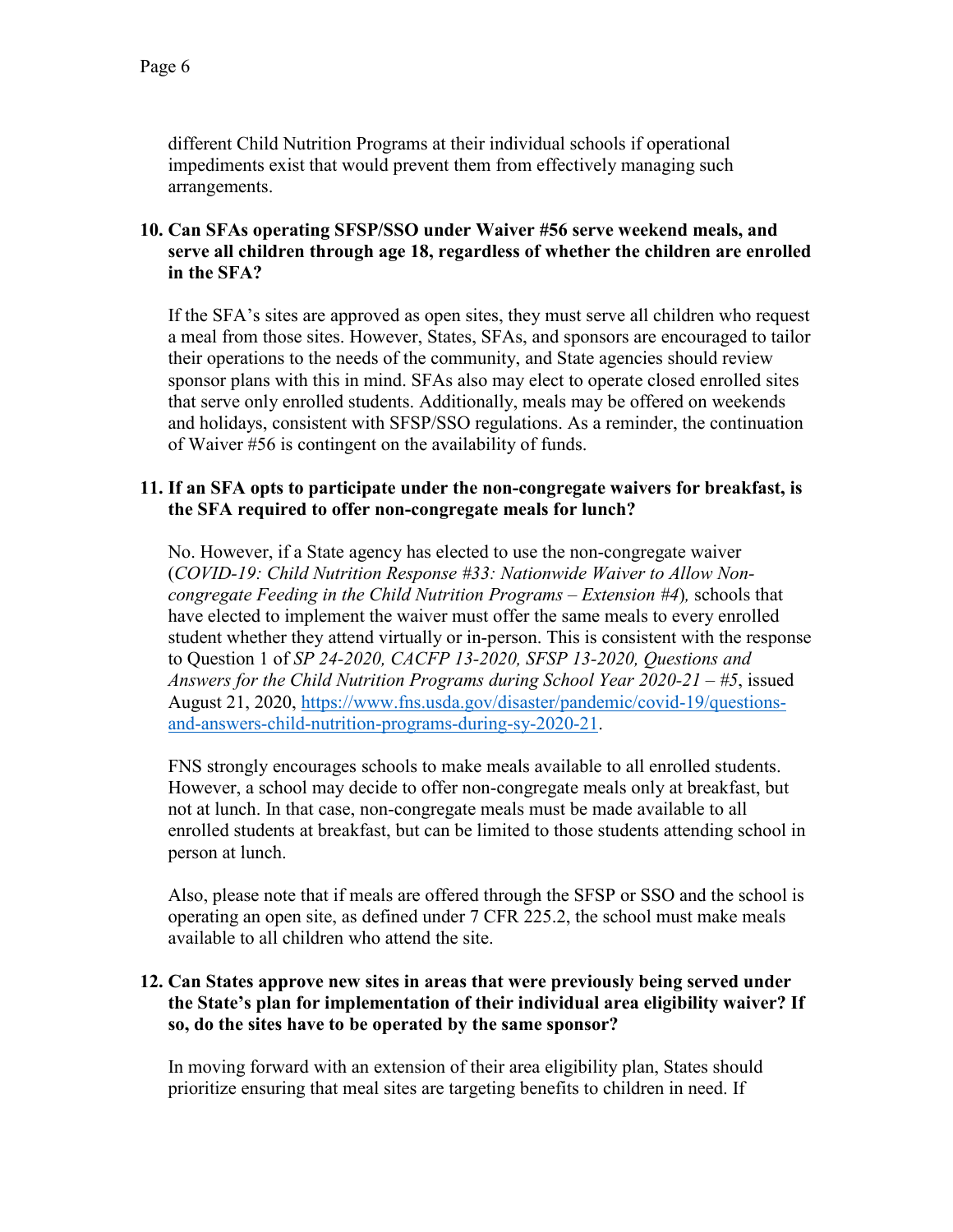different Child Nutrition Programs at their individual schools if operational impediments exist that would prevent them from effectively managing such arrangements.

## **10. Can SFAs operating SFSP/SSO under Waiver #56 serve weekend meals, and serve all children through age 18, regardless of whether the children are enrolled in the SFA?**

If the SFA's sites are approved as open sites, they must serve all children who request a meal from those sites. However, States, SFAs, and sponsors are encouraged to tailor their operations to the needs of the community, and State agencies should review sponsor plans with this in mind. SFAs also may elect to operate closed enrolled sites that serve only enrolled students. Additionally, meals may be offered on weekends and holidays, consistent with SFSP/SSO regulations. As a reminder, the continuation of Waiver #56 is contingent on the availability of funds.

### **11. If an SFA opts to participate under the non-congregate waivers for breakfast, is the SFA required to offer non-congregate meals for lunch?**

No. However, if a State agency has elected to use the non-congregate waiver (*COVID-19: Child Nutrition Response #33: Nationwide Waiver to Allow Noncongregate Feeding in the Child Nutrition Programs – Extension #4*)*,* schools that have elected to implement the waiver must offer the same meals to every enrolled student whether they attend virtually or in-person. This is consistent with the response to Question 1 of *SP 24-2020, CACFP 13-2020, SFSP 13-2020, Questions and Answers for the Child Nutrition Programs during School Year 2020-21 – #5*, issued August 21, 2020, [https://www.fns.usda.gov/disaster/pandemic/covid-19/questions](https://www.fns.usda.gov/disaster/pandemic/covid-19/questions-and-answers-child-nutrition-programs-during-sy-2020-21)[and-answers-child-nutrition-programs-during-sy-2020-21.](https://www.fns.usda.gov/disaster/pandemic/covid-19/questions-and-answers-child-nutrition-programs-during-sy-2020-21)

FNS strongly encourages schools to make meals available to all enrolled students. However, a school may decide to offer non-congregate meals only at breakfast, but not at lunch. In that case, non-congregate meals must be made available to all enrolled students at breakfast, but can be limited to those students attending school in person at lunch.

Also, please note that if meals are offered through the SFSP or SSO and the school is operating an open site, as defined under 7 CFR 225.2, the school must make meals available to all children who attend the site.

### **12. Can States approve new sites in areas that were previously being served under the State's plan for implementation of their individual area eligibility waiver? If so, do the sites have to be operated by the same sponsor?**

In moving forward with an extension of their area eligibility plan, States should prioritize ensuring that meal sites are targeting benefits to children in need. If